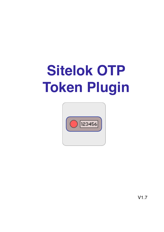# **Sitelok OTP Token Plugin**



V1.7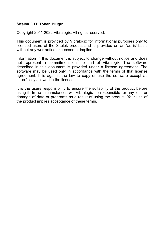#### **Sitelok OTP Token Plugin**

Copyright 2011-2022 Vibralogix. All rights reserved.

This document is provided by Vibralogix for informational purposes only to licensed users of the Sitelok product and is provided on an 'as is' basis without any warranties expressed or implied.

Information in this document is subject to change without notice and does not represent a commitment on the part of Vibralogix. The software described in this document is provided under a license agreement. The software may be used only in accordance with the terms of that license agreement. It is against the law to copy or use the software except as specifically allowed in the license.

It is the users responsibility to ensure the suitability of the product before using it. In no circumstances will Vibralogix be responsible for any loss or damage of data or programs as a result of using the product. Your use of the product implies acceptance of these terms.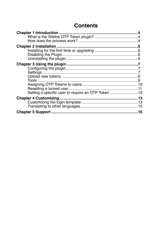# **Contents**

| Setting a specific user to require an OTP Token 12 |  |  |
|----------------------------------------------------|--|--|
|                                                    |  |  |
|                                                    |  |  |
|                                                    |  |  |
|                                                    |  |  |
|                                                    |  |  |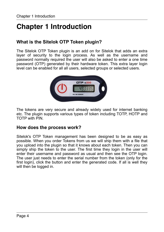# <span id="page-3-0"></span>**Chapter 1 Introduction**

# <span id="page-3-1"></span>**What is the Sitelok OTP Token plugin?**

The Sitelok OTP Token plugin is an add on for Sitelok that adds an extra layer of security to the login process. As well as the username and password normally required the user will also be asked to enter a one time password (OTP) generated by their hardware token. This extra layer login level can be enabled for all all users, selected groups or selected users.



The tokens are very secure and already widely used for internet banking etc. The plugin supports various types of token including TOTP, HOTP and TOTP with PIN.

## <span id="page-3-2"></span>**How does the process work?**

Sitelok's OTP Token management has been designed to be as easy as possible. When you order Tokens from us we will ship them with a file that you upload into the plugin so that it knows about each token. Then you can simply ship the token to the user. The first time they login in the user will enter their username and password as usual and then see the OTP login. The user just needs to enter the serial number from the token (only for the first login), click the button and enter the generated code. If all is well they will then be logged in.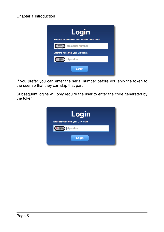

If you prefer you can enter the serial number before you ship the token to the user so that they can skip that part.

Subsequent logins will only require the user to enter the code generated by the token.

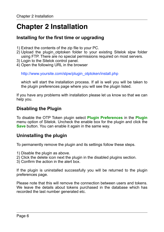# <span id="page-5-0"></span>**Chapter 2 Installation**

# <span id="page-5-1"></span>**Installing for the first time or upgrading**

- 1) Extract the contents of the zip file to your PC.
- 2) Upload the plugin\_otptoken folder to your existing Sitelok slpw folder using FTP. There are no special permissions required on most servers.
- 3) Login to the Sitelok control panel.
- 4) Open the following URL in the browser

http://www.yoursite.com/slpw/plugin\_otptoken/install.php

which will start the installation process. If all is well you will be taken to the plugin preferences page where you will see the plugin listed.

If you have any problems with installation please let us know so that we can help you.

# <span id="page-5-2"></span>**Disabling the Plugin**

To disable the OTP Token plugin select **Plugin Preferences** in the **Plugin** menu option of Sitelok. Uncheck the enable box for the plugin and click the **Save** button. You can enable it again in the same way.

# <span id="page-5-3"></span>**Uninstalling the plugin**

To permanently remove the plugin and its settings follow these steps.

- 1) Disable the plugin as above.
- 2) Click the delete icon next the plugin in the disabled plugins section.
- 3) Confirm the action in the alert box.

If the plugin is uninstalled successfully you will be returned to the plugin preferences page.

Please note that this will remove the connection between users and tokens. We leave the details about tokens purchased in the database which has recorded the last number generated etc.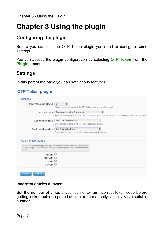# <span id="page-6-0"></span>**Chapter 3 Using the plugin**

# <span id="page-6-1"></span>**Configuring the plugin**

Before you can use the OTP Token plugin you need to configure some settings.

You can access the plugin configuration by selecting **OTP Token** from the **Plugins** menu.

# <span id="page-6-2"></span>**Settings**

In this part of the page you can set various features.

#### **OTP Token plugin**

|                      | 3<br>÷<br>Allows you to block access if the OTP Token value is entered incorrectly                                                                                              |
|----------------------|---------------------------------------------------------------------------------------------------------------------------------------------------------------------------------|
| Action to take       | $\frac{\text{A}}{\text{V}}$<br>Block access for 3 minutes<br>If you set anything apart from No Limit you can choose to either block access permanently or for a period of time. |
| User email template  | Don't email the user<br>$\frac{4}{9}$<br>Email template to send to the user if their account is blocked                                                                         |
| Admin email template | Don't email admin<br>÷<br>Email template to send to the admin when an account is blocked                                                                                        |
| Apply to usergroups  | Check a usergroup to apply this login method and uncheck to remove leaving just<br>the default login. Logon methods directly applied to specific users are not affected         |
| by this.             |                                                                                                                                                                                 |

#### **Incorrect entries allowed**

Set the number of times a user can enter an incorrect token code before getting locked out for a period of time or permanently. Usually 3 is a suitable number.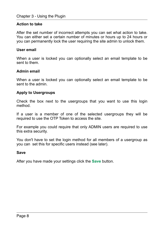#### **Action to take**

After the set number of incorrect attempts you can set what action to take. You can either set a certain number of minutes or hours up to 24 hours or you can permanently lock the user requiring the site admin to unlock them.

#### **User email**

When a user is locked you can optionally select an email template to be sent to them.

#### **Admin email**

When a user is locked you can optionally select an email template to be sent to the admin.

#### **Apply to Usergroups**

Check the box next to the usergroups that you want to use this login method.

If a user is a member of one of the selected usergroups they will be required to use the OTP Token to access the site.

For example you could require that only ADMIN users are required to use this extra security.

You don't have to set the login method for all members of a usergroup as you can set this for specific users instead (see later).

#### **Save**

After you have made your settings click the **Save** button.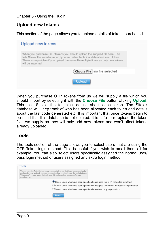# <span id="page-8-0"></span>**Upload new tokens**

This section of the page allows you to upload details of tokens purchased.

| Upload new tokens                                                                                                                                                                                                                                                         |  |
|---------------------------------------------------------------------------------------------------------------------------------------------------------------------------------------------------------------------------------------------------------------------------|--|
| When you purchase OTP tokens you should upload the supplied file here. This<br>tells Sitelok the serial number, type and other technical data about each token.<br>There is no problem if you upload the same file multiple times as only new tokens<br>will be imported. |  |
| Choose File ) no file selected                                                                                                                                                                                                                                            |  |
| <b>Upload</b>                                                                                                                                                                                                                                                             |  |

When you purchase OTP Tokens from us we will supply a file which you should import by selecting it with the **Choose File** button clicking **Upload**. This tells Sitelok the technical details about each token. The Sitelok database will keep track of who has been allocated each token and details about the last code generated etc. It is important that once tokens begin to be used that this database is not deleted. It is safe to re-upload the token files we supply as they will only add new tokens and won't affect tokens already uploaded.

## <span id="page-8-1"></span>**Tools**

The tools section of the page allows you to select users that are using the OTP Token login method. This is useful if you wish to email them all for example. You can also select users specifically assigned the normal user/ pass login method or users assigned any extra login method.

| Tools                                                                                                                                                                                                                                                                  |
|------------------------------------------------------------------------------------------------------------------------------------------------------------------------------------------------------------------------------------------------------------------------|
| You can use the Select button below to select all users that have been specifically<br>assigned a login method. You can choose the login method using the radio buttons.<br>This doesn't include users that only use this login method because of group<br>membership. |
| Select users who have been specifically assigned the OTP Token login method<br>O Select users who have been specifically assigned the normal (user/pass) login method<br>$\bigcirc$ Select users who have been specifically assigned any login method                  |
| <b>Select</b>                                                                                                                                                                                                                                                          |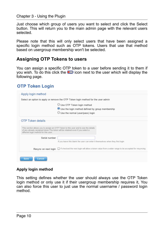Just choose which group of users you want to select and click the Select button. This will return you to the main admin page with the relevant users selected.

Please note that this will only select users that have been assigned a specific login method such as OTP tokens. Users that use that method based on usergroup membership won't be selected.

## <span id="page-9-0"></span>**Assigning OTP Tokens to users**

You can assign a specific OTP token to a user before sending it to them if you wish. To do this click the  $\bullet\bullet$  icon next to the user which will display the following page.

## **OTP Token Login**

| Apply login method                                                                                                                                                                                            |                                                                                                                                          |  |  |  |
|---------------------------------------------------------------------------------------------------------------------------------------------------------------------------------------------------------------|------------------------------------------------------------------------------------------------------------------------------------------|--|--|--|
|                                                                                                                                                                                                               | Select an option to apply or remove the OTP Token login method for the user admin                                                        |  |  |  |
|                                                                                                                                                                                                               | $\bigcirc$ Use OTP Token login method<br>Use the login method defined by group membership<br>$\bigcirc$ Use the normal (user/pass) login |  |  |  |
| OTP Token details                                                                                                                                                                                             |                                                                                                                                          |  |  |  |
| This section allows you to assign an OTP Token to this user and to see the details<br>of any already assigned token. The token will be retained even if you select a<br>different login method for this user. |                                                                                                                                          |  |  |  |
| Serial number                                                                                                                                                                                                 | If you leave this blank the user can enter it themselves when they first login                                                           |  |  |  |
| Resync on next login                                                                                                                                                                                          | $\Box$ If checked the next login will allow a token value from a wider range to be accepted for resyncing                                |  |  |  |
| <b>Cancel</b><br><b>Save</b>                                                                                                                                                                                  |                                                                                                                                          |  |  |  |

#### **Apply login method**

This setting defines whether the user should always use the OTP Token login method or only use it if their usergroup membership requires it, You can also force this user to just use the normal username / password login method.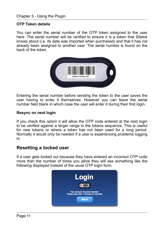#### **OTP Token details**

You can enter the serial number of the OTP token assigned to the user here. The serial number will be verified to ensure it is a token that Sitelok knows about (i.e. its data was imported when purchased) and that it has not already been assigned to another user. The serial number is found on the back of the token.



Entering the serial number before sending the token to the user saves the user having to enter it themselves. However you can leave the serial number field blank in which case the user will enter it during their first login.

#### **Resync on next login**

If you check this option it will allow the OTP code entered at the next login to be verified against a larger range in the tokens sequence. This is useful for new tokens or where a token has not been used for a long period. Normally it would only be needed if a user is experiencing problems logging in.

#### <span id="page-10-0"></span>**Resetting a locked user**

If a user gets locked out because they have entered an incorrect OTP code more than the number of times you allow they will see something like the following displayed instead of the usual OTP login form.

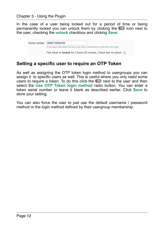In the case of a user being locked out for a period of time or being permanently locked you can unlock them by clicking the  $\bullet$  icon next to the user, checking the **unlock** checkbox and clicking **Save**.

| Serial number   2600110504785                                                  |  |
|--------------------------------------------------------------------------------|--|
| If you leave this blank the user can enter it themselves when they first login |  |
| This token is locked for 2 hours 29 minutes. Check box to unlock $\Box$        |  |

## <span id="page-11-0"></span>**Setting a specific user to require an OTP Token**

As well as assigning the OTP token login method to usergroups you can assign it to specific users as well. This is useful where you only need some users to require a token. To do this click the  $\blacksquare$  next to the user and then select the **Use OTP Token login method** radio button. You can enter a token serial number or leave it blank as described earlier. Click **Save** to store your setting.

You can also force the user to just use the default username / password method or the login method defined by their usergroup membership.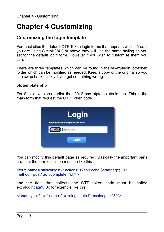# <span id="page-12-0"></span>**Chapter 4 Customizing**

## <span id="page-12-1"></span>**Customizing the login template**

For most sites the default OTP Token login forms that appears will be fine. If you are using Sitelok V4.2 or above they will use the same styling as you set for the default login form. However if you wish to customise them you can.

There are three templates which can be found in the slpw/plugin otptoken folder which can be modified as needed. Keep a copy of the original so you can swap back quickly if you get something wrong.

#### **otptemplate.php**

For Sitelok versions earlier than V4.2 use otptemplateold.php. This is the main form that request the OTP Token code.



You can modify this default page as required. Basically the important parts are that the form definition must be like this

```
<form name="siteloklogin2" action="<?php echo $startpage; ?>" 
method="post" autocomplete="off" >
```
and the field that collects the OTP token code must be called extralogindata1. So for example like this

```
<input type="text" name="extralogindata1" maxlength="30">
```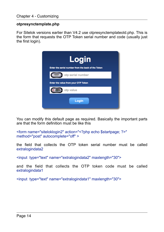#### **otpresynctemplate.php**

For Sitelok versions earlier than V4.2 use otpresynctemplateold.php. This is the form that requests the OTP Token serial number and code (usually just the first login).



You can modify this default page as required. Basically the important parts are that the form definition must be like this

```
<form name="siteloklogin2" action="<?php echo $startpage; ?>" 
method="post" autocomplete="off" >
```
the field that collects the OTP token serial number must be called extralogindata2

<input type="text" name="extralogindata2" maxlength="30">

and the field that collects the OTP token code must be called extralogindata1

<input type="text" name="extralogindata1" maxlength="30">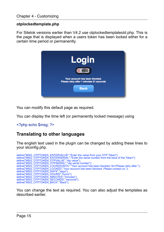#### **otplockedtemplate.php**

For Sitelok versions earlier than V4.2 use otplockedtemplateold.php. This is the page that is displayed when a users token has been locked either for a certain time period or permanently.



You can modify this default page as required.

You can display the time left (or permanently locked message) using

#### <?php echo \$msg; ?>

## <span id="page-14-0"></span>**Translating to other languages**

The english text used in the plugin can be changed by adding these lines to your slconfig.php.

```
define("MSG_OTPTOKEN_ENTERVALUE","Enter the value from your OTP Token");<br>define("MSG_OTPTOKEN_ENTERSERIAL","Enter the serial number from the back of the Token");<br>define("MSG_OTPTOKEN_OTPVALUE","otp value");<br>define("MSG_OTP
define("MSG_OTPTOKEN_LOCKED","Your account has been blocked. Please contact us.");<br>define("MSG_OTPTOKEN_DAYS","days");<br>define("MSG_OTPTOKEN_HOURS","havis");<br>define("MSG_OTPTOKEN_MINUTES","minutes");<br>define("MSG_OTPTOKEN_SE
```
You can change the text as required. You can also adjust the templates as described earlier.